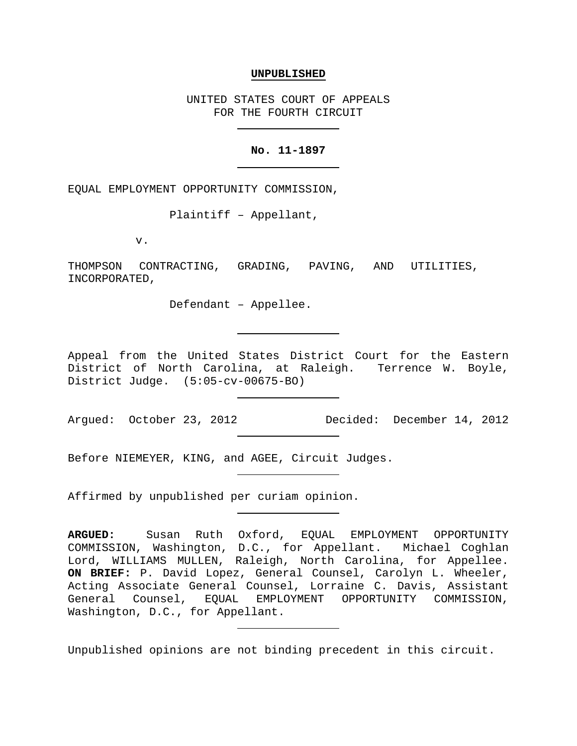### **UNPUBLISHED**

UNITED STATES COURT OF APPEALS FOR THE FOURTH CIRCUIT

## **No. 11-1897**

EQUAL EMPLOYMENT OPPORTUNITY COMMISSION,

Plaintiff – Appellant,

v.

THOMPSON CONTRACTING, GRADING, PAVING, AND UTILITIES, INCORPORATED,

Defendant – Appellee.

Appeal from the United States District Court for the Eastern District of North Carolina, at Raleigh. Terrence W. Boyle, District Judge. (5:05-cv-00675-BO)

Argued: October 23, 2012 Decided: December 14, 2012

Before NIEMEYER, KING, and AGEE, Circuit Judges.

Affirmed by unpublished per curiam opinion.

Unpublished opinions are not binding precedent in this circuit.

**ARGUED:** Susan Ruth Oxford, EQUAL EMPLOYMENT OPPORTUNITY COMMISSION, Washington, D.C., for Appellant. Michael Coghlan Lord, WILLIAMS MULLEN, Raleigh, North Carolina, for Appellee. **ON BRIEF:** P. David Lopez, General Counsel, Carolyn L. Wheeler, Acting Associate General Counsel, Lorraine C. Davis, Assistant General Counsel, EQUAL EMPLOYMENT OPPORTUNITY COMMISSION, Washington, D.C., for Appellant.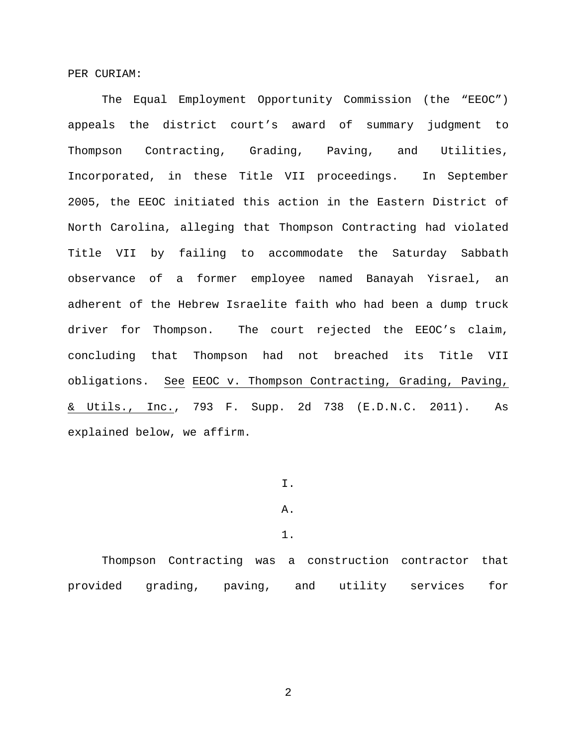PER CURIAM:

The Equal Employment Opportunity Commission (the "EEOC") appeals the district court's award of summary judgment to Thompson Contracting, Grading, Paving, and Utilities, Incorporated, in these Title VII proceedings. In September 2005, the EEOC initiated this action in the Eastern District of North Carolina, alleging that Thompson Contracting had violated Title VII by failing to accommodate the Saturday Sabbath observance of a former employee named Banayah Yisrael, an adherent of the Hebrew Israelite faith who had been a dump truck driver for Thompson. The court rejected the EEOC's claim, concluding that Thompson had not breached its Title VII obligations. See EEOC v. Thompson Contracting, Grading, Paving, & Utils., Inc., 793 F. Supp. 2d 738 (E.D.N.C. 2011). As explained below, we affirm.

I.

### A.

1.

Thompson Contracting was a construction contractor that provided grading, paving, and utility services for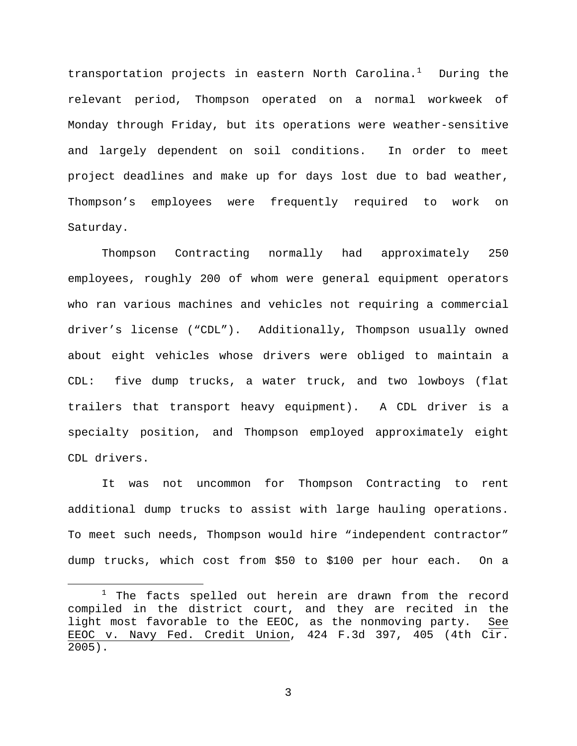transportation projects in eastern North Carolina.<sup>[1](#page-2-0)</sup> During the relevant period, Thompson operated on a normal workweek of Monday through Friday, but its operations were weather-sensitive and largely dependent on soil conditions. In order to meet project deadlines and make up for days lost due to bad weather, Thompson's employees were frequently required to work on Saturday.

Thompson Contracting normally had approximately 250 employees, roughly 200 of whom were general equipment operators who ran various machines and vehicles not requiring a commercial driver's license ("CDL"). Additionally, Thompson usually owned about eight vehicles whose drivers were obliged to maintain a CDL: five dump trucks, a water truck, and two lowboys (flat trailers that transport heavy equipment). A CDL driver is a specialty position, and Thompson employed approximately eight CDL drivers.

It was not uncommon for Thompson Contracting to rent additional dump trucks to assist with large hauling operations. To meet such needs, Thompson would hire "independent contractor" dump trucks, which cost from \$50 to \$100 per hour each. On a

<span id="page-2-0"></span> $1$  The facts spelled out herein are drawn from the record compiled in the district court, and they are recited in the<br>light most favorable to the EEOC, as the nonmoving party. See light most favorable to the EEOC, as the nonmoving party. EEOC v. Navy Fed. Credit Union, 424 F.3d 397, 405 (4th Cir. 2005).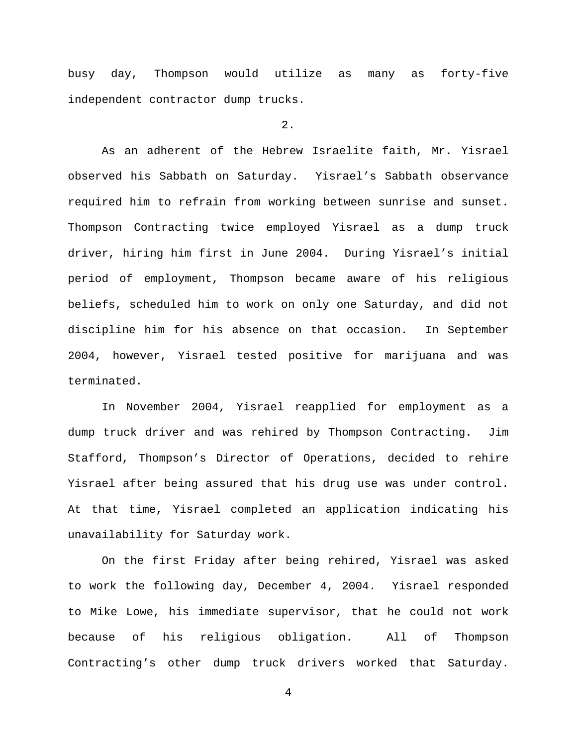busy day, Thompson would utilize as many as forty-five independent contractor dump trucks.

# $2.$

As an adherent of the Hebrew Israelite faith, Mr. Yisrael observed his Sabbath on Saturday. Yisrael's Sabbath observance required him to refrain from working between sunrise and sunset. Thompson Contracting twice employed Yisrael as a dump truck driver, hiring him first in June 2004. During Yisrael's initial period of employment, Thompson became aware of his religious beliefs, scheduled him to work on only one Saturday, and did not discipline him for his absence on that occasion. In September 2004, however, Yisrael tested positive for marijuana and was terminated.

In November 2004, Yisrael reapplied for employment as a dump truck driver and was rehired by Thompson Contracting. Jim Stafford, Thompson's Director of Operations, decided to rehire Yisrael after being assured that his drug use was under control. At that time, Yisrael completed an application indicating his unavailability for Saturday work.

On the first Friday after being rehired, Yisrael was asked to work the following day, December 4, 2004. Yisrael responded to Mike Lowe, his immediate supervisor, that he could not work because of his religious obligation. All of Thompson Contracting's other dump truck drivers worked that Saturday.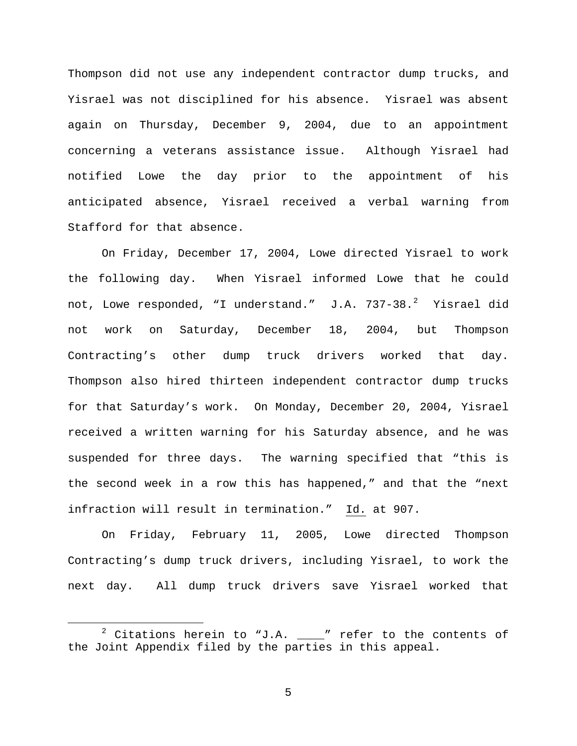Thompson did not use any independent contractor dump trucks, and Yisrael was not disciplined for his absence. Yisrael was absent again on Thursday, December 9, 2004, due to an appointment concerning a veterans assistance issue. Although Yisrael had notified Lowe the day prior to the appointment of his anticipated absence, Yisrael received a verbal warning from Stafford for that absence.

On Friday, December 17, 2004, Lowe directed Yisrael to work the following day. When Yisrael informed Lowe that he could not, Lowe responded, "I understand." J.A. 737-38.<sup>[2](#page-4-0)</sup> Yisrael did not work on Saturday, December 18, 2004, but Thompson Contracting's other dump truck drivers worked that day. Thompson also hired thirteen independent contractor dump trucks for that Saturday's work. On Monday, December 20, 2004, Yisrael received a written warning for his Saturday absence, and he was suspended for three days. The warning specified that "this is the second week in a row this has happened," and that the "next infraction will result in termination." Id. at 907.

On Friday, February 11, 2005, Lowe directed Thompson Contracting's dump truck drivers, including Yisrael, to work the next day. All dump truck drivers save Yisrael worked that

<span id="page-4-0"></span> $2$  Citations herein to "J.A.  $\_\_\_\$ " refer to the contents of the Joint Appendix filed by the parties in this appeal.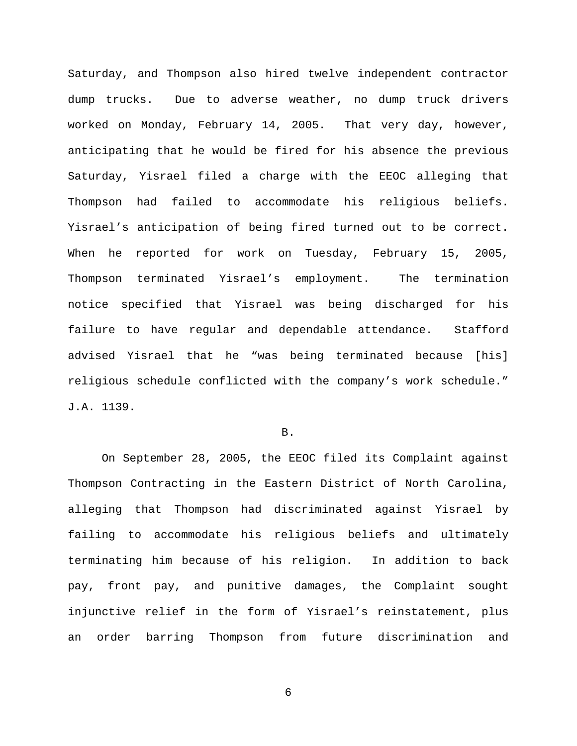Saturday, and Thompson also hired twelve independent contractor dump trucks. Due to adverse weather, no dump truck drivers worked on Monday, February 14, 2005. That very day, however, anticipating that he would be fired for his absence the previous Saturday, Yisrael filed a charge with the EEOC alleging that Thompson had failed to accommodate his religious beliefs. Yisrael's anticipation of being fired turned out to be correct. When he reported for work on Tuesday, February 15, 2005, Thompson terminated Yisrael's employment. The termination notice specified that Yisrael was being discharged for his failure to have regular and dependable attendance. Stafford advised Yisrael that he "was being terminated because [his] religious schedule conflicted with the company's work schedule." J.A. 1139.

### B.

On September 28, 2005, the EEOC filed its Complaint against Thompson Contracting in the Eastern District of North Carolina, alleging that Thompson had discriminated against Yisrael by failing to accommodate his religious beliefs and ultimately terminating him because of his religion. In addition to back pay, front pay, and punitive damages, the Complaint sought injunctive relief in the form of Yisrael's reinstatement, plus an order barring Thompson from future discrimination and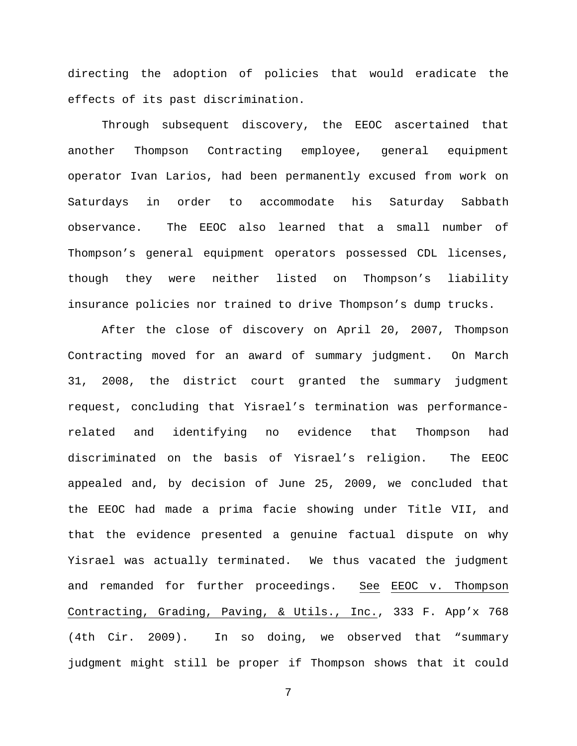directing the adoption of policies that would eradicate the effects of its past discrimination.

Through subsequent discovery, the EEOC ascertained that another Thompson Contracting employee, general equipment operator Ivan Larios, had been permanently excused from work on Saturdays in order to accommodate his Saturday Sabbath observance. The EEOC also learned that a small number of Thompson's general equipment operators possessed CDL licenses, though they were neither listed on Thompson's liability insurance policies nor trained to drive Thompson's dump trucks.

After the close of discovery on April 20, 2007, Thompson Contracting moved for an award of summary judgment. On March 31, 2008, the district court granted the summary judgment request, concluding that Yisrael's termination was performancerelated and identifying no evidence that Thompson had discriminated on the basis of Yisrael's religion. The EEOC appealed and, by decision of June 25, 2009, we concluded that the EEOC had made a prima facie showing under Title VII, and that the evidence presented a genuine factual dispute on why Yisrael was actually terminated. We thus vacated the judgment and remanded for further proceedings. See EEOC v. Thompson Contracting, Grading, Paving, & Utils., Inc., 333 F. App'x 768 (4th Cir. 2009). In so doing, we observed that "summary judgment might still be proper if Thompson shows that it could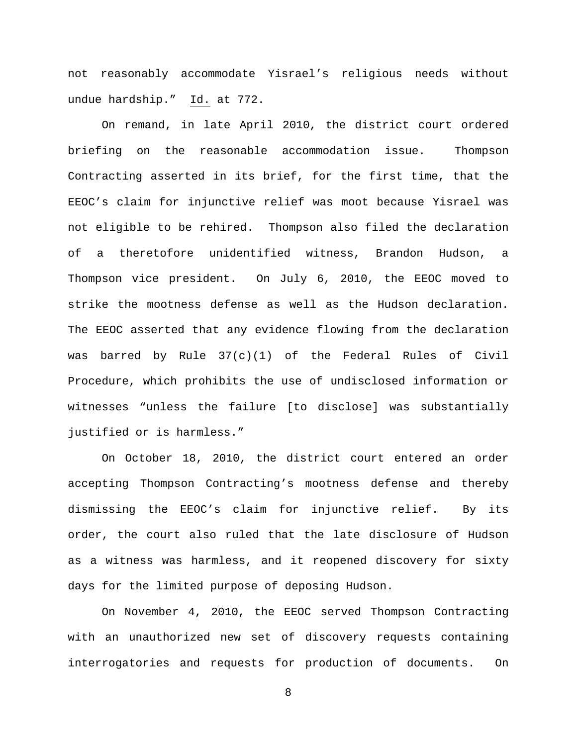not reasonably accommodate Yisrael's religious needs without undue hardship." Id. at 772.

On remand, in late April 2010, the district court ordered briefing on the reasonable accommodation issue. Thompson Contracting asserted in its brief, for the first time, that the EEOC's claim for injunctive relief was moot because Yisrael was not eligible to be rehired. Thompson also filed the declaration of a theretofore unidentified witness, Brandon Hudson, a Thompson vice president. On July 6, 2010, the EEOC moved to strike the mootness defense as well as the Hudson declaration. The EEOC asserted that any evidence flowing from the declaration was barred by Rule 37(c)(1) of the Federal Rules of Civil Procedure, which prohibits the use of undisclosed information or witnesses "unless the failure [to disclose] was substantially justified or is harmless."

On October 18, 2010, the district court entered an order accepting Thompson Contracting's mootness defense and thereby dismissing the EEOC's claim for injunctive relief. By its order, the court also ruled that the late disclosure of Hudson as a witness was harmless, and it reopened discovery for sixty days for the limited purpose of deposing Hudson.

On November 4, 2010, the EEOC served Thompson Contracting with an unauthorized new set of discovery requests containing interrogatories and requests for production of documents. On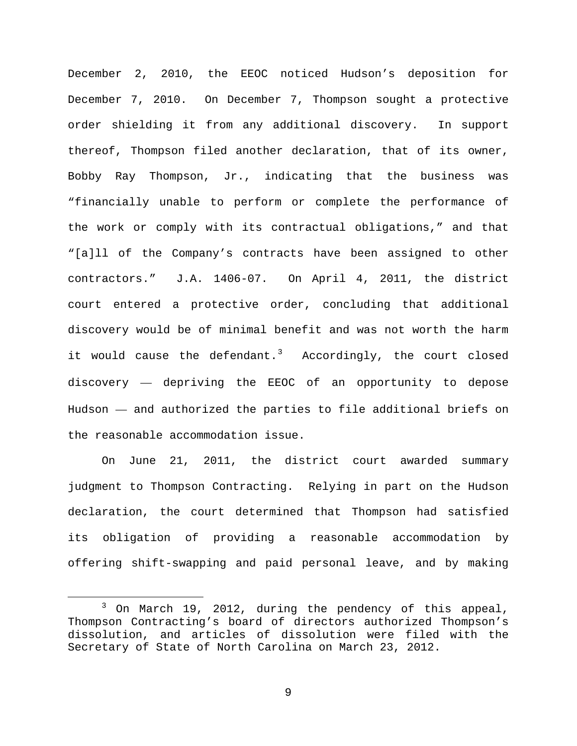December 2, 2010, the EEOC noticed Hudson's deposition for December 7, 2010. On December 7, Thompson sought a protective order shielding it from any additional discovery. In support thereof, Thompson filed another declaration, that of its owner, Bobby Ray Thompson, Jr., indicating that the business was "financially unable to perform or complete the performance of the work or comply with its contractual obligations," and that "[a]ll of the Company's contracts have been assigned to other contractors." J.A. 1406-07. On April 4, 2011, the district court entered a protective order, concluding that additional discovery would be of minimal benefit and was not worth the harm it would cause the defendant.<sup>[3](#page-8-0)</sup> Accordingly, the court closed discovery — depriving the EEOC of an opportunity to depose Hudson — and authorized the parties to file additional briefs on the reasonable accommodation issue.

On June 21, 2011, the district court awarded summary judgment to Thompson Contracting. Relying in part on the Hudson declaration, the court determined that Thompson had satisfied its obligation of providing a reasonable accommodation by offering shift-swapping and paid personal leave, and by making

<span id="page-8-0"></span><sup>&</sup>lt;sup>3</sup> On March 19, 2012, during the pendency of this appeal, Thompson Contracting's board of directors authorized Thompson's dissolution, and articles of dissolution were filed with the Secretary of State of North Carolina on March 23, 2012.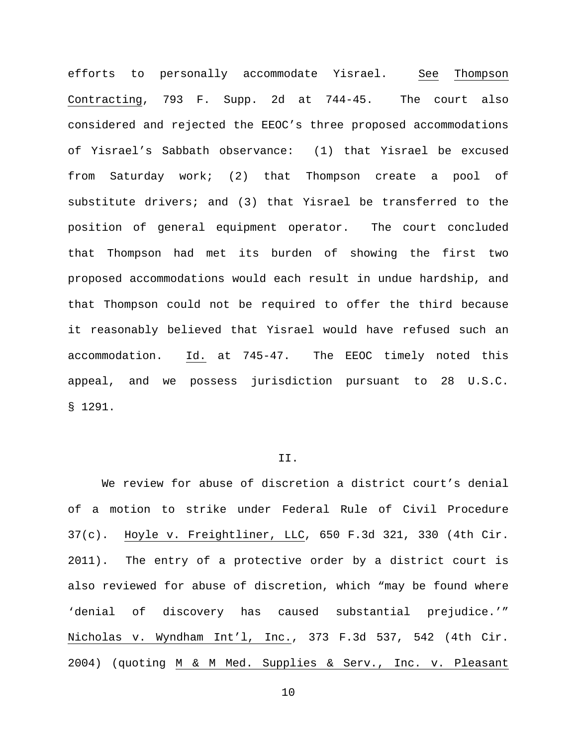efforts to personally accommodate Yisrael. See Thompson Contracting, 793 F. Supp. 2d at 744-45. The court also considered and rejected the EEOC's three proposed accommodations of Yisrael's Sabbath observance: (1) that Yisrael be excused from Saturday work; (2) that Thompson create a pool of substitute drivers; and (3) that Yisrael be transferred to the position of general equipment operator. The court concluded that Thompson had met its burden of showing the first two proposed accommodations would each result in undue hardship, and that Thompson could not be required to offer the third because it reasonably believed that Yisrael would have refused such an accommodation. Id. at 745-47. The EEOC timely noted this appeal, and we possess jurisdiction pursuant to 28 U.S.C. § 1291.

# II.

We review for abuse of discretion a district court's denial of a motion to strike under Federal Rule of Civil Procedure 37(c). Hoyle v. Freightliner, LLC, 650 F.3d 321, 330 (4th Cir. 2011). The entry of a protective order by a district court is also reviewed for abuse of discretion, which "may be found where 'denial of discovery has caused substantial prejudice.'" Nicholas v. Wyndham Int'l, Inc., 373 F.3d 537, 542 (4th Cir. 2004) (quoting M & M Med. Supplies & Serv., Inc. v. Pleasant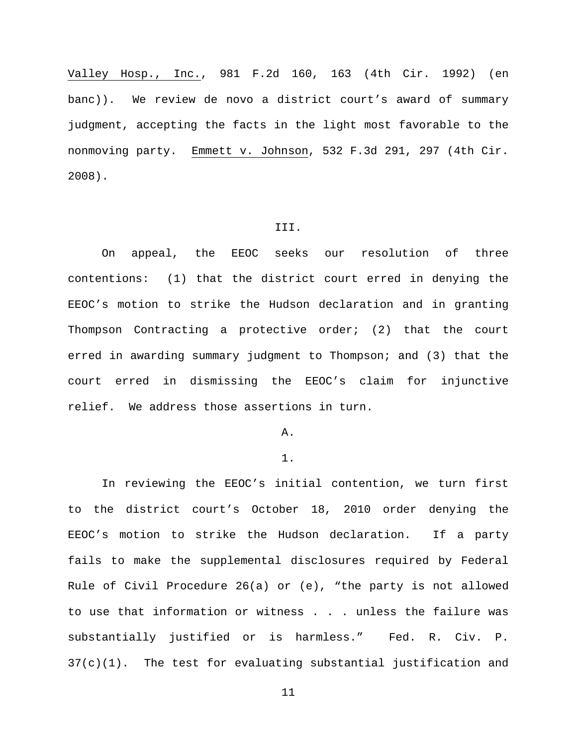Valley Hosp., Inc., 981 F.2d 160, 163 (4th Cir. 1992) (en banc)). We review de novo a district court's award of summary judgment, accepting the facts in the light most favorable to the nonmoving party. Emmett v. Johnson, 532 F.3d 291, 297 (4th Cir. 2008).

### III.

On appeal, the EEOC seeks our resolution of three contentions: (1) that the district court erred in denying the EEOC's motion to strike the Hudson declaration and in granting Thompson Contracting a protective order; (2) that the court erred in awarding summary judgment to Thompson; and (3) that the court erred in dismissing the EEOC's claim for injunctive relief. We address those assertions in turn.

### A.

# 1.

In reviewing the EEOC's initial contention, we turn first to the district court's October 18, 2010 order denying the EEOC's motion to strike the Hudson declaration. If a party fails to make the supplemental disclosures required by Federal Rule of Civil Procedure 26(a) or (e), "the party is not allowed to use that information or witness . . . unless the failure was substantially justified or is harmless." Fed. R. Civ. P. 37(c)(1). The test for evaluating substantial justification and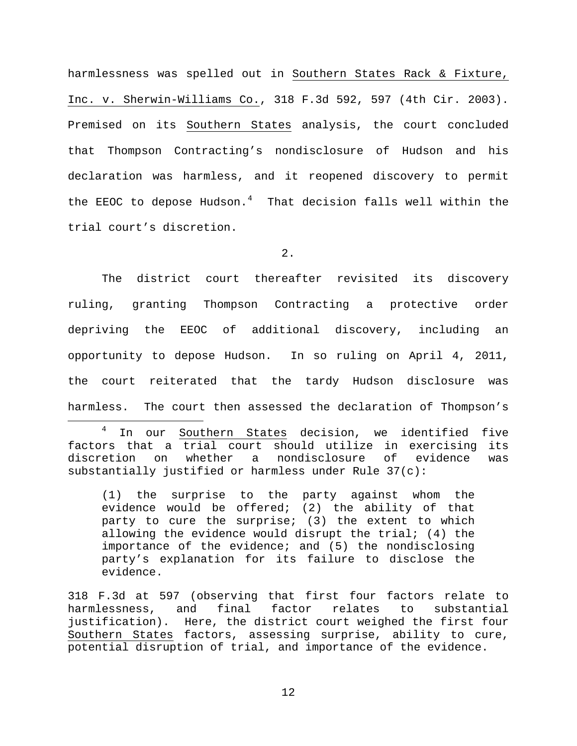harmlessness was spelled out in Southern States Rack & Fixture, Inc. v. Sherwin-Williams Co., 318 F.3d 592, 597 (4th Cir. 2003). Premised on its Southern States analysis, the court concluded that Thompson Contracting's nondisclosure of Hudson and his declaration was harmless, and it reopened discovery to permit the EEOC to depose Hudson.<sup>[4](#page-11-0)</sup> That decision falls well within the trial court's discretion.

2.

The district court thereafter revisited its discovery ruling, granting Thompson Contracting a protective order depriving the EEOC of additional discovery, including an opportunity to depose Hudson. In so ruling on April 4, 2011, the court reiterated that the tardy Hudson disclosure was harmless. The court then assessed the declaration of Thompson's

<span id="page-11-0"></span><sup>4</sup> In our <u>Southern States</u> decision, we identified five factors that a trial court should utilize in exercising its<br>discretion on whether a nondisclosure of evidence was on whether a nondisclosure of evidence was substantially justified or harmless under Rule 37(c):

(1) the surprise to the party against whom the evidence would be offered; (2) the ability of that party to cure the surprise; (3) the extent to which allowing the evidence would disrupt the trial; (4) the importance of the evidence; and (5) the nondisclosing party's explanation for its failure to disclose the evidence.

318 F.3d at 597 (observing that first four factors relate to harmlessness, and final factor relates to substantial justification). Here, the district court weighed the first four Southern States factors, assessing surprise, ability to cure, potential disruption of trial, and importance of the evidence.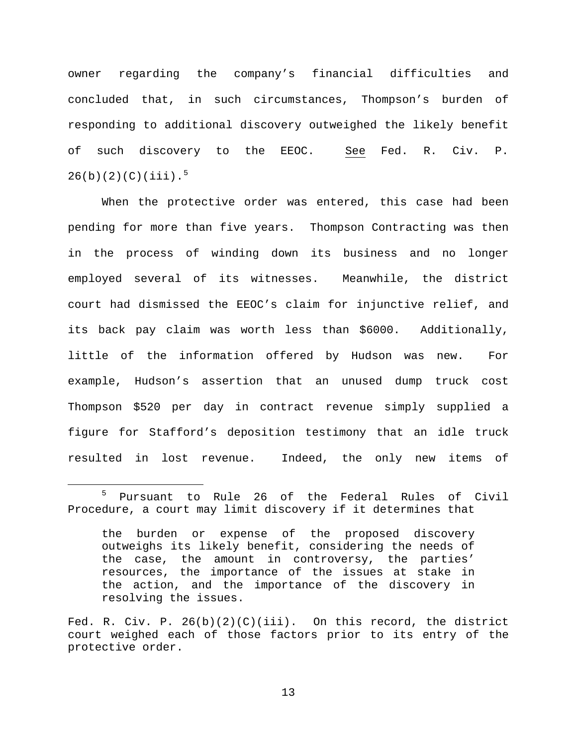owner regarding the company's financial difficulties and concluded that, in such circumstances, Thompson's burden of responding to additional discovery outweighed the likely benefit of such discovery to the EEOC. See Fed. R. Civ. P.  $26(b)(2)(C)(iii)$ .<sup>[5](#page-12-0)</sup>

When the protective order was entered, this case had been pending for more than five years. Thompson Contracting was then in the process of winding down its business and no longer employed several of its witnesses. Meanwhile, the district court had dismissed the EEOC's claim for injunctive relief, and its back pay claim was worth less than \$6000. Additionally, little of the information offered by Hudson was new. For example, Hudson's assertion that an unused dump truck cost Thompson \$520 per day in contract revenue simply supplied a figure for Stafford's deposition testimony that an idle truck resulted in lost revenue. Indeed, the only new items of

<span id="page-12-0"></span> <sup>5</sup> Pursuant to Rule 26 of the Federal Rules of Civil Procedure, a court may limit discovery if it determines that

the burden or expense of the proposed discovery outweighs its likely benefit, considering the needs of the case, the amount in controversy, the parties' resources, the importance of the issues at stake in the action, and the importance of the discovery in resolving the issues.

Fed. R. Civ. P.  $26(b)(2)(C)(iii)$ . On this record, the district court weighed each of those factors prior to its entry of the protective order.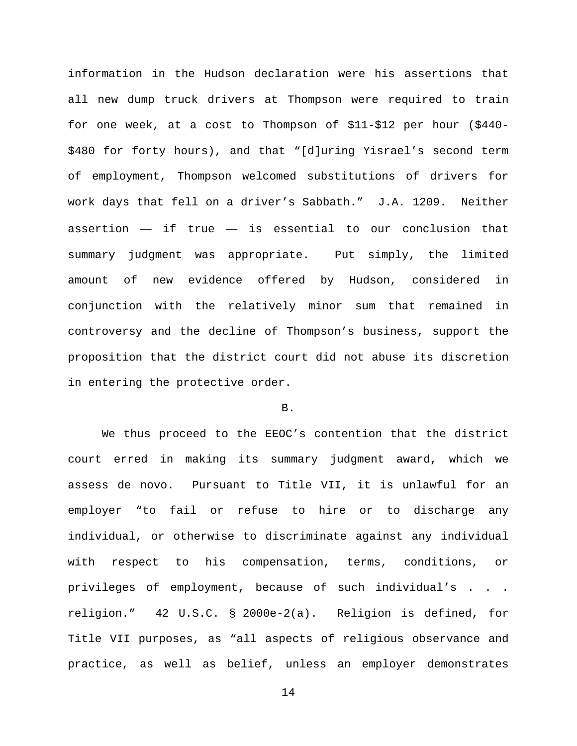information in the Hudson declaration were his assertions that all new dump truck drivers at Thompson were required to train for one week, at a cost to Thompson of \$11-\$12 per hour (\$440- \$480 for forty hours), and that "[d]uring Yisrael's second term of employment, Thompson welcomed substitutions of drivers for work days that fell on a driver's Sabbath." J.A. 1209. Neither assertion  $-$  if true  $-$  is essential to our conclusion that summary judgment was appropriate. Put simply, the limited amount of new evidence offered by Hudson, considered in conjunction with the relatively minor sum that remained in controversy and the decline of Thompson's business, support the proposition that the district court did not abuse its discretion in entering the protective order.

# B.

We thus proceed to the EEOC's contention that the district court erred in making its summary judgment award, which we assess de novo. Pursuant to Title VII, it is unlawful for an employer "to fail or refuse to hire or to discharge any individual, or otherwise to discriminate against any individual with respect to his compensation, terms, conditions, or privileges of employment, because of such individual's . . . religion." 42 U.S.C. § 2000e-2(a). Religion is defined, for Title VII purposes, as "all aspects of religious observance and practice, as well as belief, unless an employer demonstrates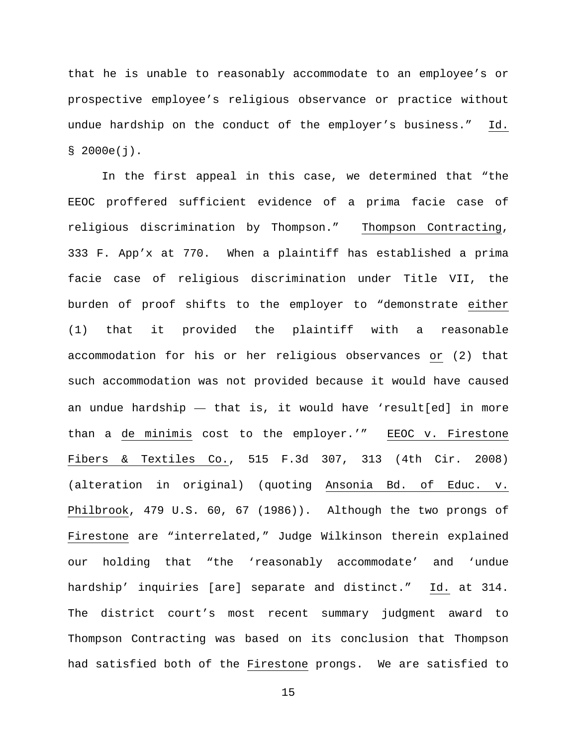that he is unable to reasonably accommodate to an employee's or prospective employee's religious observance or practice without undue hardship on the conduct of the employer's business." Id.  $$ 2000e(j).$ 

In the first appeal in this case, we determined that "the EEOC proffered sufficient evidence of a prima facie case of religious discrimination by Thompson." Thompson Contracting, 333 F. App'x at 770. When a plaintiff has established a prima facie case of religious discrimination under Title VII, the burden of proof shifts to the employer to "demonstrate either (1) that it provided the plaintiff with a reasonable accommodation for his or her religious observances or (2) that such accommodation was not provided because it would have caused an undue hardship — that is, it would have 'result[ed] in more than a de minimis cost to the employer.'" EEOC v. Firestone Fibers & Textiles Co., 515 F.3d 307, 313 (4th Cir. 2008) (alteration in original) (quoting Ansonia Bd. of Educ. v. Philbrook, 479 U.S. 60, 67 (1986)). Although the two prongs of Firestone are "interrelated," Judge Wilkinson therein explained our holding that "the 'reasonably accommodate' and 'undue hardship' inquiries [are] separate and distinct." Id. at 314. The district court's most recent summary judgment award to Thompson Contracting was based on its conclusion that Thompson had satisfied both of the Firestone prongs. We are satisfied to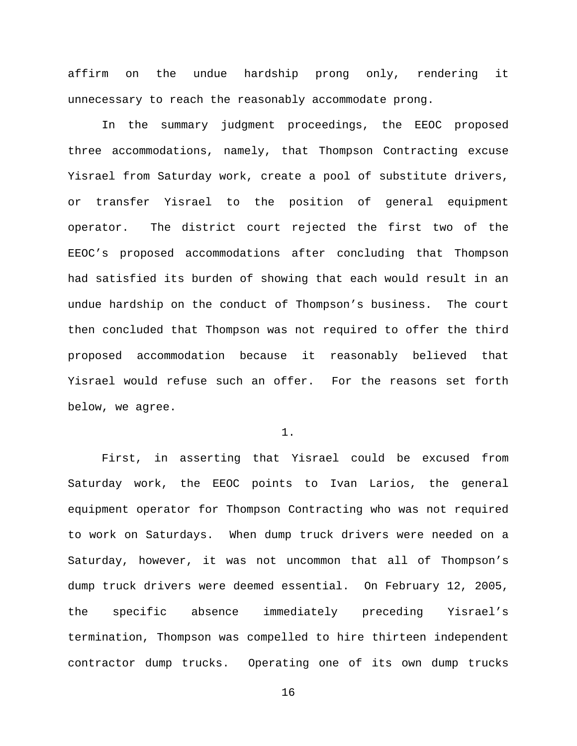affirm on the undue hardship prong only, rendering it unnecessary to reach the reasonably accommodate prong.

In the summary judgment proceedings, the EEOC proposed three accommodations, namely, that Thompson Contracting excuse Yisrael from Saturday work, create a pool of substitute drivers, or transfer Yisrael to the position of general equipment operator. The district court rejected the first two of the EEOC's proposed accommodations after concluding that Thompson had satisfied its burden of showing that each would result in an undue hardship on the conduct of Thompson's business. The court then concluded that Thompson was not required to offer the third proposed accommodation because it reasonably believed that Yisrael would refuse such an offer. For the reasons set forth below, we agree.

1.

First, in asserting that Yisrael could be excused from Saturday work, the EEOC points to Ivan Larios, the general equipment operator for Thompson Contracting who was not required to work on Saturdays. When dump truck drivers were needed on a Saturday, however, it was not uncommon that all of Thompson's dump truck drivers were deemed essential. On February 12, 2005, the specific absence immediately preceding Yisrael's termination, Thompson was compelled to hire thirteen independent contractor dump trucks. Operating one of its own dump trucks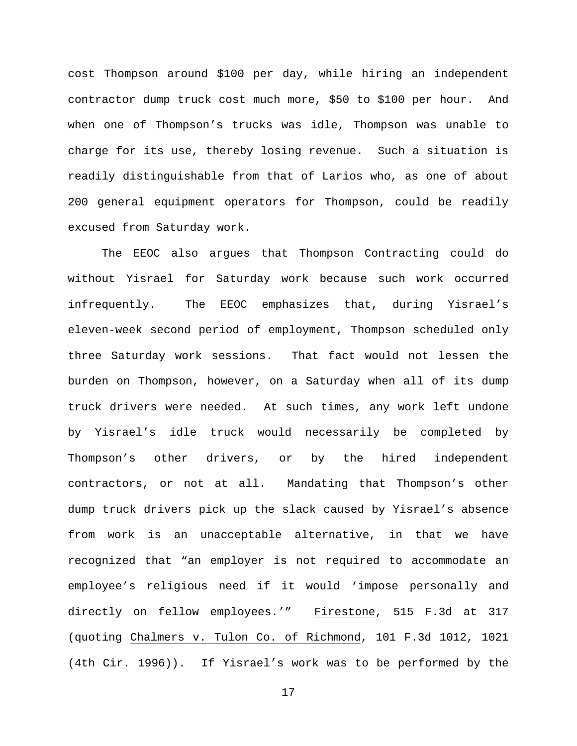cost Thompson around \$100 per day, while hiring an independent contractor dump truck cost much more, \$50 to \$100 per hour. And when one of Thompson's trucks was idle, Thompson was unable to charge for its use, thereby losing revenue. Such a situation is readily distinguishable from that of Larios who, as one of about 200 general equipment operators for Thompson, could be readily excused from Saturday work.

The EEOC also argues that Thompson Contracting could do without Yisrael for Saturday work because such work occurred infrequently. The EEOC emphasizes that, during Yisrael's eleven-week second period of employment, Thompson scheduled only three Saturday work sessions. That fact would not lessen the burden on Thompson, however, on a Saturday when all of its dump truck drivers were needed. At such times, any work left undone by Yisrael's idle truck would necessarily be completed by Thompson's other drivers, or by the hired independent contractors, or not at all. Mandating that Thompson's other dump truck drivers pick up the slack caused by Yisrael's absence from work is an unacceptable alternative, in that we have recognized that "an employer is not required to accommodate an employee's religious need if it would 'impose personally and directly on fellow employees.'" Firestone, 515 F.3d at 317 (quoting Chalmers v. Tulon Co. of Richmond, 101 F.3d 1012, 1021 (4th Cir. 1996)). If Yisrael's work was to be performed by the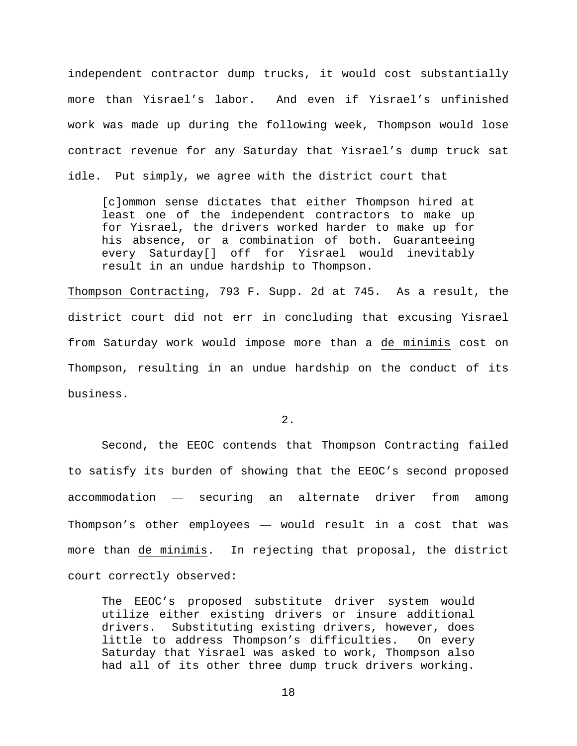independent contractor dump trucks, it would cost substantially more than Yisrael's labor. And even if Yisrael's unfinished work was made up during the following week, Thompson would lose contract revenue for any Saturday that Yisrael's dump truck sat idle. Put simply, we agree with the district court that

[c]ommon sense dictates that either Thompson hired at least one of the independent contractors to make up for Yisrael, the drivers worked harder to make up for his absence, or a combination of both. Guaranteeing every Saturday[] off for Yisrael would inevitably result in an undue hardship to Thompson.

Thompson Contracting, 793 F. Supp. 2d at 745. As a result, the district court did not err in concluding that excusing Yisrael from Saturday work would impose more than a de minimis cost on Thompson, resulting in an undue hardship on the conduct of its business.

2.

Second, the EEOC contends that Thompson Contracting failed to satisfy its burden of showing that the EEOC's second proposed accommodation — securing an alternate driver from among Thompson's other employees — would result in a cost that was more than de minimis. In rejecting that proposal, the district court correctly observed:

The EEOC's proposed substitute driver system would utilize either existing drivers or insure additional drivers. Substituting existing drivers, however, does little to address Thompson's difficulties. On every Saturday that Yisrael was asked to work, Thompson also had all of its other three dump truck drivers working.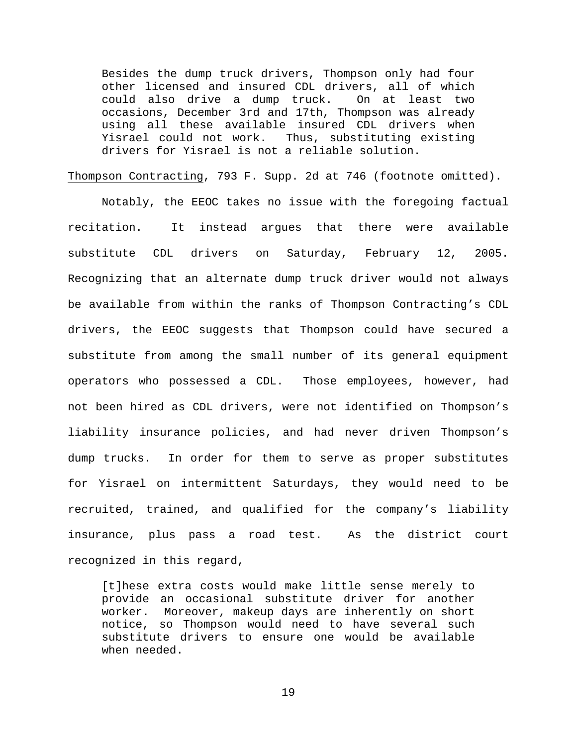Besides the dump truck drivers, Thompson only had four other licensed and insured CDL drivers, all of which<br>could also drive a dump truck. On at least two could also drive a dump truck. occasions, December 3rd and 17th, Thompson was already using all these available insured CDL drivers when Yisrael could not work. Thus, substituting existing drivers for Yisrael is not a reliable solution.

Thompson Contracting, 793 F. Supp. 2d at 746 (footnote omitted).

Notably, the EEOC takes no issue with the foregoing factual recitation. It instead argues that there were available substitute CDL drivers on Saturday, February 12, 2005. Recognizing that an alternate dump truck driver would not always be available from within the ranks of Thompson Contracting's CDL drivers, the EEOC suggests that Thompson could have secured a substitute from among the small number of its general equipment operators who possessed a CDL. Those employees, however, had not been hired as CDL drivers, were not identified on Thompson's liability insurance policies, and had never driven Thompson's dump trucks. In order for them to serve as proper substitutes for Yisrael on intermittent Saturdays, they would need to be recruited, trained, and qualified for the company's liability insurance, plus pass a road test. As the district court recognized in this regard,

[t]hese extra costs would make little sense merely to provide an occasional substitute driver for another worker. Moreover, makeup days are inherently on short notice, so Thompson would need to have several such substitute drivers to ensure one would be available when needed.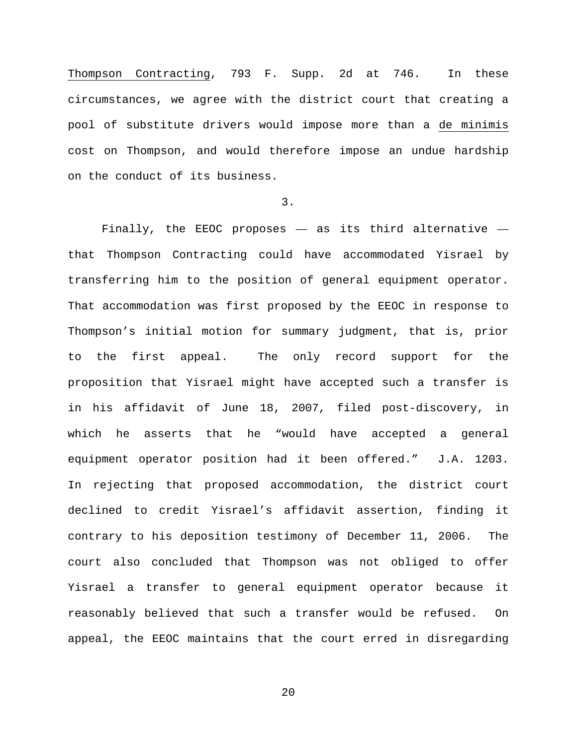Thompson Contracting, 793 F. Supp. 2d at 746. In these circumstances, we agree with the district court that creating a pool of substitute drivers would impose more than a de minimis cost on Thompson, and would therefore impose an undue hardship on the conduct of its business.

3.

Finally, the EEOC proposes — as its third alternative that Thompson Contracting could have accommodated Yisrael by transferring him to the position of general equipment operator. That accommodation was first proposed by the EEOC in response to Thompson's initial motion for summary judgment, that is, prior to the first appeal. The only record support for the proposition that Yisrael might have accepted such a transfer is in his affidavit of June 18, 2007, filed post-discovery, in which he asserts that he "would have accepted a general equipment operator position had it been offered." J.A. 1203. In rejecting that proposed accommodation, the district court declined to credit Yisrael's affidavit assertion, finding it contrary to his deposition testimony of December 11, 2006. The court also concluded that Thompson was not obliged to offer Yisrael a transfer to general equipment operator because it reasonably believed that such a transfer would be refused. On appeal, the EEOC maintains that the court erred in disregarding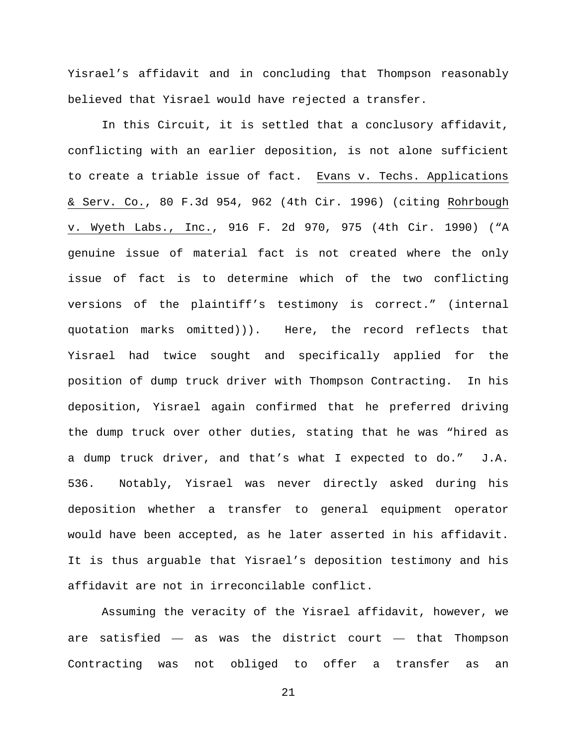Yisrael's affidavit and in concluding that Thompson reasonably believed that Yisrael would have rejected a transfer.

In this Circuit, it is settled that a conclusory affidavit, conflicting with an earlier deposition, is not alone sufficient to create a triable issue of fact. Evans v. Techs. Applications & Serv. Co., 80 F.3d 954, 962 (4th Cir. 1996) (citing Rohrbough v. Wyeth Labs., Inc., 916 F. 2d 970, 975 (4th Cir. 1990) ("A genuine issue of material fact is not created where the only issue of fact is to determine which of the two conflicting versions of the plaintiff's testimony is correct." (internal quotation marks omitted))). Here, the record reflects that Yisrael had twice sought and specifically applied for the position of dump truck driver with Thompson Contracting. In his deposition, Yisrael again confirmed that he preferred driving the dump truck over other duties, stating that he was "hired as a dump truck driver, and that's what I expected to do." J.A. 536. Notably, Yisrael was never directly asked during his deposition whether a transfer to general equipment operator would have been accepted, as he later asserted in his affidavit. It is thus arguable that Yisrael's deposition testimony and his affidavit are not in irreconcilable conflict.

Assuming the veracity of the Yisrael affidavit, however, we are satisfied — as was the district court — that Thompson Contracting was not obliged to offer a transfer as an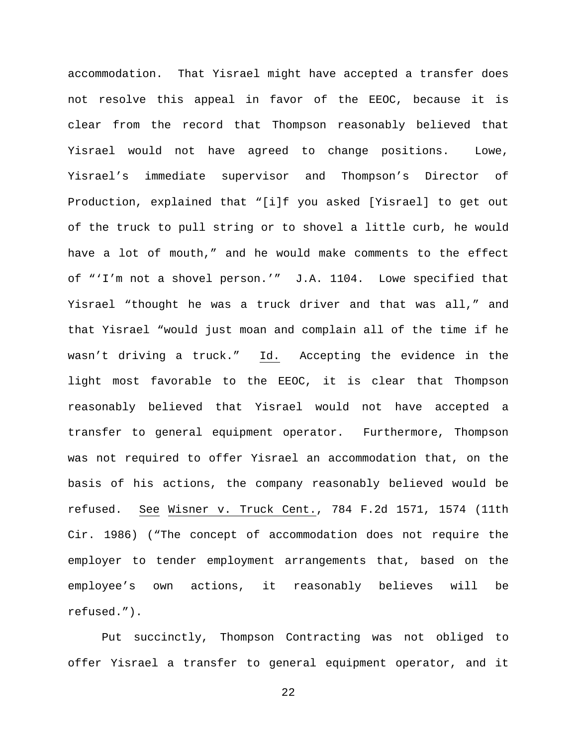accommodation. That Yisrael might have accepted a transfer does not resolve this appeal in favor of the EEOC, because it is clear from the record that Thompson reasonably believed that Yisrael would not have agreed to change positions. Lowe, Yisrael's immediate supervisor and Thompson's Director of Production, explained that "[i]f you asked [Yisrael] to get out of the truck to pull string or to shovel a little curb, he would have a lot of mouth," and he would make comments to the effect of "'I'm not a shovel person.'" J.A. 1104. Lowe specified that Yisrael "thought he was a truck driver and that was all," and that Yisrael "would just moan and complain all of the time if he wasn't driving a truck." Id. Accepting the evidence in the light most favorable to the EEOC, it is clear that Thompson reasonably believed that Yisrael would not have accepted a transfer to general equipment operator. Furthermore, Thompson was not required to offer Yisrael an accommodation that, on the basis of his actions, the company reasonably believed would be refused. See Wisner v. Truck Cent., 784 F.2d 1571, 1574 (11th Cir. 1986) ("The concept of accommodation does not require the employer to tender employment arrangements that, based on the employee's own actions, it reasonably believes will be refused.").

Put succinctly, Thompson Contracting was not obliged to offer Yisrael a transfer to general equipment operator, and it